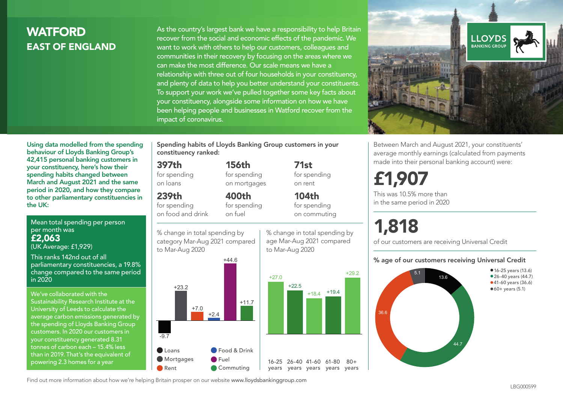# **WATFORD** EAST OF ENGLAND

As the country's largest bank we have a responsibility to help Britain recover from the social and economic effects of the pandemic. We want to work with others to help our customers, colleagues and communities in their recovery by focusing on the areas where we can make the most difference. Our scale means we have a relationship with three out of four households in your constituency, and plenty of data to help you better understand your constituents. To support your work we've pulled together some key facts about your constituency, alongside some information on how we have been helping people and businesses in Watford recover from the impact of coronavirus.



Between March and August 2021, your constituents' average monthly earnings (calculated from payments made into their personal banking account) were:

# £1,907

This was 10.5% more than in the same period in 2020

# 1,818

of our customers are receiving Universal Credit

#### % age of our customers receiving Universal Credit



Using data modelled from the spending behaviour of Lloyds Banking Group's 42,415 personal banking customers in your constituency, here's how their spending habits changed between March and August 2021 and the same period in 2020, and how they compare to other parliamentary constituencies in the UK:

Mean total spending per person per month was £2,063

(UK Average: £1,929)

This ranks 142nd out of all parliamentary constituencies, a 19.8% change compared to the same period in 2020

We've collaborated with the Sustainability Research Institute at the University of Leeds to calculate the average carbon emissions generated by the spending of Lloyds Banking Group customers. In 2020 our customers in your constituency generated 8.31 tonnes of carbon each – 15.4% less than in 2019. That's the equivalent of powering 2.3 homes for a year

Spending habits of Lloyds Banking Group customers in your constituency ranked:

> 156th for spending on mortgages

400th

#### 397th

for spending on loans

#### 239th

for spending on food and drink

for spending on fuel

+44.6 % change in total spending by category Mar-Aug 2021 compared to Mar-Aug 2020





71st for spending on rent

104th for spending on commuting



#### Find out more information about how we're helping Britain prosper on our website www.lloydsbankinggroup.com